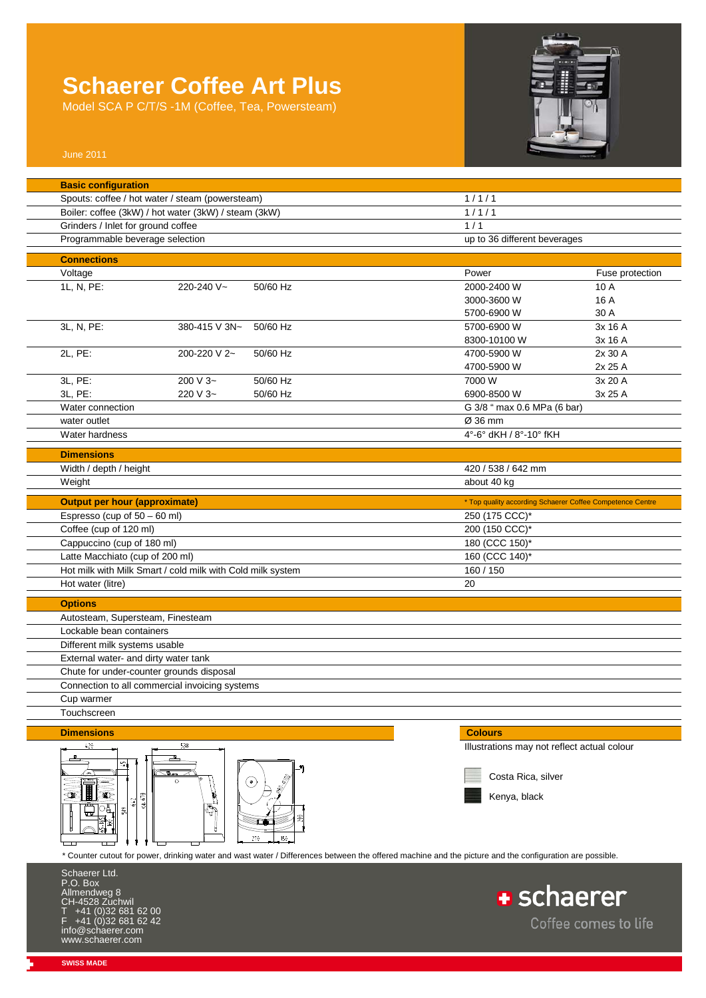Model SCA P C/T/S -1M (Coffee, Tea, Powersteam)



Coffee comes to life

| <b>Basic configuration</b>                           |                                                            |                              |                                                                                                                                                         |                      |  |
|------------------------------------------------------|------------------------------------------------------------|------------------------------|---------------------------------------------------------------------------------------------------------------------------------------------------------|----------------------|--|
| Spouts: coffee / hot water / steam (powersteam)      |                                                            | 1/1/1                        |                                                                                                                                                         |                      |  |
| Boiler: coffee (3kW) / hot water (3kW) / steam (3kW) |                                                            | 1/1/1                        |                                                                                                                                                         |                      |  |
| Grinders / Inlet for ground coffee                   |                                                            |                              | 1/1                                                                                                                                                     |                      |  |
| Programmable beverage selection                      |                                                            | up to 36 different beverages |                                                                                                                                                         |                      |  |
| <b>Connections</b>                                   |                                                            |                              |                                                                                                                                                         |                      |  |
| Voltage                                              |                                                            |                              | Power                                                                                                                                                   | Fuse protection      |  |
| 1L, N, PE:                                           | 220-240 V~                                                 | 50/60 Hz                     | 2000-2400 W                                                                                                                                             | 10 A                 |  |
|                                                      |                                                            |                              | 3000-3600 W                                                                                                                                             | 16 A                 |  |
|                                                      |                                                            |                              | 5700-6900 W                                                                                                                                             | 30 A                 |  |
| 3L, N, PE:                                           | 380-415 V 3N~                                              | 50/60 Hz                     | 5700-6900 W                                                                                                                                             | 3x 16 A              |  |
|                                                      |                                                            |                              | 8300-10100 W                                                                                                                                            | 3x 16 A              |  |
| 2L, PE:                                              | 200-220 V 2~                                               | 50/60 Hz                     | 4700-5900 W                                                                                                                                             | 2x 30 A              |  |
|                                                      |                                                            |                              | 4700-5900 W                                                                                                                                             | 2x 25 A              |  |
| 3L, PE:                                              | 200 V 3~                                                   | 50/60 Hz                     | 7000 W                                                                                                                                                  | 3x 20 A              |  |
| 3L, PE:                                              | 220 V 3~                                                   | 50/60 Hz                     | 6900-8500 W                                                                                                                                             | 3x 25 A              |  |
| Water connection                                     |                                                            |                              | G 3/8 " max 0.6 MPa (6 bar)                                                                                                                             |                      |  |
| water outlet                                         |                                                            |                              | Ø 36 mm                                                                                                                                                 |                      |  |
| Water hardness                                       |                                                            |                              | 4°-6° dKH / 8°-10° fKH                                                                                                                                  |                      |  |
| <b>Dimensions</b>                                    |                                                            |                              |                                                                                                                                                         |                      |  |
| Width / depth / height                               |                                                            |                              | 420 / 538 / 642 mm                                                                                                                                      |                      |  |
| Weight                                               |                                                            |                              | about 40 kg                                                                                                                                             |                      |  |
|                                                      |                                                            |                              |                                                                                                                                                         |                      |  |
| <b>Output per hour (approximate)</b>                 |                                                            |                              | * Top quality according Schaerer Coffee Competence Centre                                                                                               |                      |  |
| Espresso (cup of 50 - 60 ml)                         |                                                            |                              | 250 (175 CCC)*                                                                                                                                          |                      |  |
| Coffee (cup of 120 ml)                               |                                                            |                              | 200 (150 CCC)*                                                                                                                                          |                      |  |
| Cappuccino (cup of 180 ml)                           |                                                            |                              | 180 (CCC 150)*                                                                                                                                          |                      |  |
| Latte Macchiato (cup of 200 ml)                      |                                                            |                              | 160 (CCC 140)*                                                                                                                                          |                      |  |
|                                                      | Hot milk with Milk Smart / cold milk with Cold milk system |                              | 160 / 150                                                                                                                                               |                      |  |
| Hot water (litre)                                    |                                                            |                              | 20                                                                                                                                                      |                      |  |
| <b>Options</b>                                       |                                                            |                              |                                                                                                                                                         |                      |  |
| Autosteam, Supersteam, Finesteam                     |                                                            |                              |                                                                                                                                                         |                      |  |
| Lockable bean containers                             |                                                            |                              |                                                                                                                                                         |                      |  |
| Different milk systems usable                        |                                                            |                              |                                                                                                                                                         |                      |  |
| External water- and dirty water tank                 |                                                            |                              |                                                                                                                                                         |                      |  |
|                                                      | Chute for under-counter grounds disposal                   |                              |                                                                                                                                                         |                      |  |
|                                                      | Connection to all commercial invoicing systems             |                              |                                                                                                                                                         |                      |  |
| Cup warmer                                           |                                                            |                              |                                                                                                                                                         |                      |  |
| Touchscreen                                          |                                                            |                              |                                                                                                                                                         |                      |  |
| <b>Dimensions</b>                                    |                                                            |                              | <b>Colours</b>                                                                                                                                          |                      |  |
| 420                                                  | 538                                                        |                              | Illustrations may not reflect actual colour                                                                                                             |                      |  |
|                                                      |                                                            |                              |                                                                                                                                                         |                      |  |
|                                                      | صاف                                                        |                              | Costa Rica, silver                                                                                                                                      |                      |  |
|                                                      | $\circ$                                                    | $(\bullet)$                  |                                                                                                                                                         |                      |  |
| Ð<br>642                                             | 670<br>ೆ                                                   |                              | Kenya, black                                                                                                                                            |                      |  |
| 띩                                                    |                                                            |                              |                                                                                                                                                         |                      |  |
|                                                      |                                                            |                              |                                                                                                                                                         |                      |  |
|                                                      |                                                            | 270<br>150                   |                                                                                                                                                         |                      |  |
|                                                      |                                                            |                              | * Counter cutout for power, drinking water and wast water / Differences between the offered machine and the picture and the configuration are possible. |                      |  |
| Schaerer Ltd.                                        |                                                            |                              |                                                                                                                                                         |                      |  |
| P.O. Box                                             |                                                            |                              |                                                                                                                                                         |                      |  |
| Allmendweg 8                                         |                                                            |                              | <b>+</b> schaerer                                                                                                                                       |                      |  |
| CH-4528 Zuchwil<br>+41 (0)32 681 62 00               |                                                            |                              |                                                                                                                                                         |                      |  |
| +41 (0)32 681 62 42                                  |                                                            |                              |                                                                                                                                                         | Coffee comes to life |  |

info@schaerer.com www.schaerer.com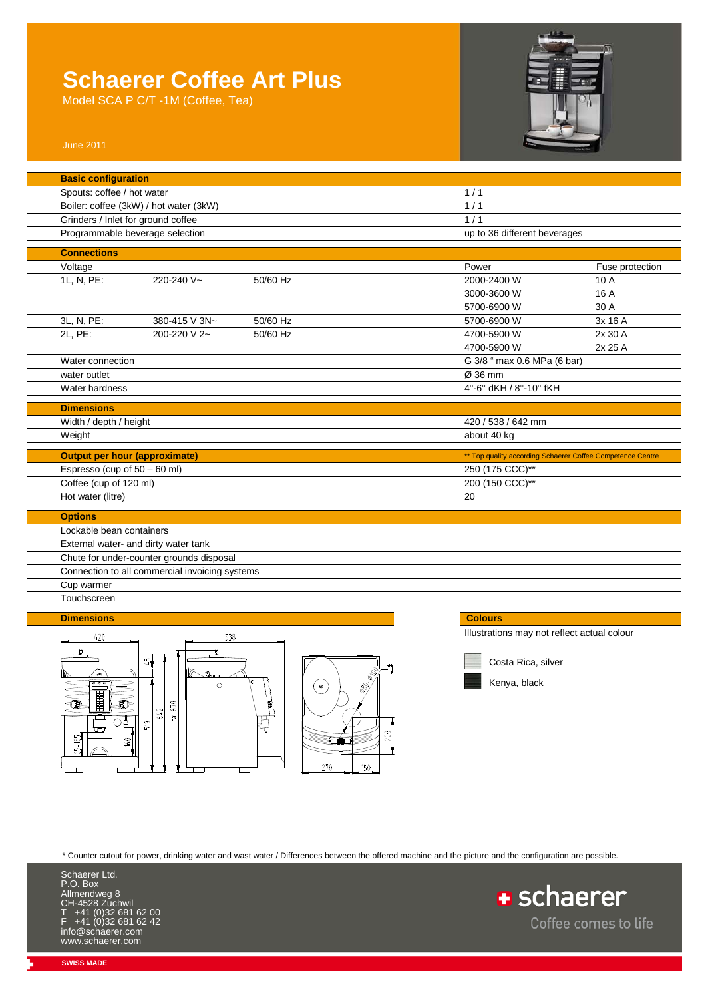Model SCA P C/T -1M (Coffee, Tea)



| <b>Basic configuration</b>             |                                                |                              |                                                            |                             |  |
|----------------------------------------|------------------------------------------------|------------------------------|------------------------------------------------------------|-----------------------------|--|
| Spouts: coffee / hot water             |                                                | 1/1                          |                                                            |                             |  |
| Boiler: coffee (3kW) / hot water (3kW) |                                                | 1/1                          |                                                            |                             |  |
| Grinders / Inlet for ground coffee     |                                                | 1/1                          |                                                            |                             |  |
| Programmable beverage selection        |                                                | up to 36 different beverages |                                                            |                             |  |
| <b>Connections</b>                     |                                                |                              |                                                            |                             |  |
|                                        |                                                |                              | Power                                                      |                             |  |
| Voltage                                | 220-240 V~                                     | 50/60 Hz                     | 2000-2400 W                                                | Fuse protection<br>10 A     |  |
| 1L, N, PE:                             |                                                |                              |                                                            |                             |  |
|                                        |                                                |                              | 3000-3600 W                                                | 16 A                        |  |
|                                        |                                                |                              | 5700-6900 W                                                | 30 A                        |  |
| 3L, N, PE:                             | 380-415 V 3N~                                  | 50/60 Hz                     | 5700-6900 W                                                | 3x 16 A                     |  |
| 2L, PE:                                | 200-220 V 2~                                   | 50/60 Hz                     | 4700-5900 W                                                | 2x 30 A                     |  |
|                                        |                                                |                              | 4700-5900 W                                                | 2x 25 A                     |  |
| Water connection                       |                                                |                              |                                                            | G 3/8 " max 0.6 MPa (6 bar) |  |
| water outlet                           |                                                | Ø 36 mm                      |                                                            |                             |  |
| Water hardness                         |                                                | 4°-6° dKH / 8°-10° fKH       |                                                            |                             |  |
| <b>Dimensions</b>                      |                                                |                              |                                                            |                             |  |
| Width / depth / height                 |                                                |                              | 420 / 538 / 642 mm                                         |                             |  |
| Weight                                 |                                                |                              | about 40 kg                                                |                             |  |
|                                        |                                                |                              |                                                            |                             |  |
| <b>Output per hour (approximate)</b>   |                                                |                              | ** Top quality according Schaerer Coffee Competence Centre |                             |  |
| Espresso (cup of 50 - 60 ml)           |                                                | 250 (175 CCC)**              |                                                            |                             |  |
| Coffee (cup of 120 ml)                 |                                                | 200 (150 CCC)**              |                                                            |                             |  |
| Hot water (litre)                      |                                                |                              | 20                                                         |                             |  |
| <b>Options</b>                         |                                                |                              |                                                            |                             |  |
| Lockable bean containers               |                                                |                              |                                                            |                             |  |
|                                        | External water- and dirty water tank           |                              |                                                            |                             |  |
|                                        | Chute for under-counter grounds disposal       |                              |                                                            |                             |  |
|                                        | Connection to all commercial invoicing systems |                              |                                                            |                             |  |
| Cup warmer                             |                                                |                              |                                                            |                             |  |
| Touchscreen                            |                                                |                              |                                                            |                             |  |
|                                        |                                                |                              |                                                            |                             |  |
| <b>Dimensions</b>                      |                                                |                              | <b>Colours</b>                                             |                             |  |
| 420                                    | 538                                            |                              | Illustrations may not reflect actual colour                |                             |  |
| $\mathbf{p}$                           | ū                                              |                              |                                                            |                             |  |





Costa Rica, silver

Kenya, black

\* Counter cutout for power, drinking water and wast water / Differences between the offered machine and the picture and the configuration are possible.

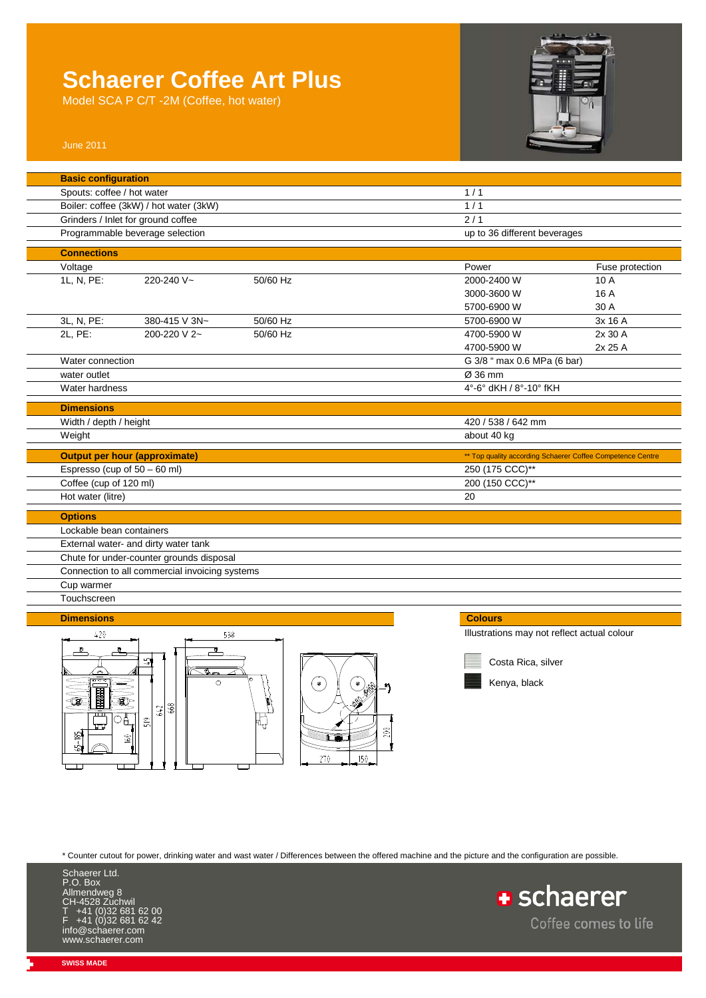Model SCA P C/T -2M (Coffee, hot water)



| <b>Basic configuration</b>   |                                                |          |           |                                             |                                                            |
|------------------------------|------------------------------------------------|----------|-----------|---------------------------------------------|------------------------------------------------------------|
| Spouts: coffee / hot water   |                                                |          |           | 1/1                                         |                                                            |
|                              | Boiler: coffee (3kW) / hot water (3kW)         |          |           | 1/1                                         |                                                            |
|                              | Grinders / Inlet for ground coffee             |          |           | $\overline{2/1}$                            |                                                            |
|                              | Programmable beverage selection                |          |           | up to 36 different beverages                |                                                            |
| <b>Connections</b>           |                                                |          |           |                                             |                                                            |
| Voltage                      |                                                |          |           | Power                                       | Fuse protection                                            |
| 1L, N, PE:                   | 220-240 V~                                     | 50/60 Hz |           | 2000-2400 W                                 | 10 A                                                       |
|                              |                                                |          |           | 3000-3600 W                                 | 16 A                                                       |
|                              |                                                |          |           | 5700-6900 W                                 | 30 A                                                       |
| 3L, N, PE:                   | 380-415 V 3N~                                  | 50/60 Hz |           | 5700-6900 W                                 | 3x 16 A                                                    |
| 2L, PE:                      | 200-220 V 2~                                   | 50/60 Hz |           | 4700-5900 W                                 | 2x 30 A                                                    |
|                              |                                                |          |           | 4700-5900 W                                 | 2x 25 A                                                    |
| Water connection             |                                                |          |           | G 3/8 " max 0.6 MPa (6 bar)                 |                                                            |
| water outlet                 |                                                |          |           | Ø 36 mm                                     |                                                            |
| Water hardness               |                                                |          |           | 4°-6° dKH / 8°-10° fKH                      |                                                            |
| <b>Dimensions</b>            |                                                |          |           |                                             |                                                            |
| Width / depth / height       |                                                |          |           | 420 / 538 / 642 mm                          |                                                            |
|                              |                                                |          |           | about 40 kg                                 |                                                            |
| Weight                       |                                                |          |           |                                             |                                                            |
|                              | <b>Output per hour (approximate)</b>           |          |           |                                             | ** Top quality according Schaerer Coffee Competence Centre |
| Espresso (cup of 50 - 60 ml) |                                                |          |           | 250 (175 CCC)**                             |                                                            |
| Coffee (cup of 120 ml)       |                                                |          |           | 200 (150 CCC)**                             |                                                            |
| Hot water (litre)            |                                                |          |           | 20                                          |                                                            |
| <b>Options</b>               |                                                |          |           |                                             |                                                            |
| Lockable bean containers     |                                                |          |           |                                             |                                                            |
|                              | External water- and dirty water tank           |          |           |                                             |                                                            |
|                              | Chute for under-counter grounds disposal       |          |           |                                             |                                                            |
|                              | Connection to all commercial invoicing systems |          |           |                                             |                                                            |
| Cup warmer                   |                                                |          |           |                                             |                                                            |
| Touchscreen                  |                                                |          |           |                                             |                                                            |
|                              |                                                |          |           |                                             |                                                            |
| <b>Dimensions</b>            |                                                |          |           | <b>Colours</b>                              |                                                            |
| 420                          |                                                | 538      |           | Illustrations may not reflect actual colour |                                                            |
|                              |                                                |          |           |                                             |                                                            |
|                              | 41                                             |          |           | Costa Rica, silver                          |                                                            |
| ততৰ                          | $\overline{\mathcal{L}}$<br>$\circ$            |          | $\bullet$ | Kenya, black                                |                                                            |
|                              |                                                |          |           |                                             |                                                            |
|                              |                                                |          |           |                                             |                                                            |
|                              | 668<br>642                                     |          |           |                                             |                                                            |

\* Counter cutout for power, drinking water and wast water / Differences between the offered machine and the picture and the configuration are possible.

≊⊓ 270

200

 $150$ 



 $rac{642}{668}$ 

 $519$ 

ᆏ

 $\boxed{\circ}$ 

 $60$ 

ūτ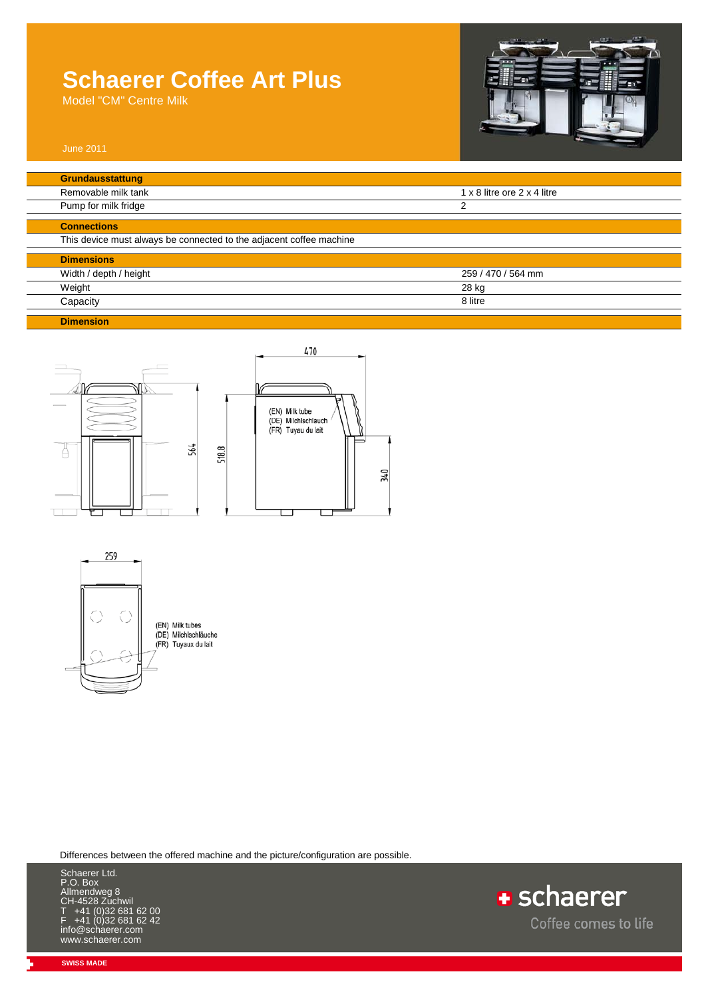Model "CM" Centre Milk



| Removable milk tank                                                 | 1 x 8 litre ore 2 x 4 litre |
|---------------------------------------------------------------------|-----------------------------|
| Pump for milk fridge                                                | 2                           |
| <b>Connections</b>                                                  |                             |
| This device must always be connected to the adjacent coffee machine |                             |
| <b>Dimensions</b>                                                   |                             |
| Width / depth / height                                              | 259 / 470 / 564 mm          |
| Weight                                                              | 28 kg                       |
| Capacity                                                            | 8 litre                     |





Differences between the offered machine and the picture/configuration are possible.

Schaerer Ltd. P.O. Box Allmendweg 8 Endring<br>4528 Zuchwil T +41 (0)32 681 62 00 F +41 (0)32 681 62 42 info@schaerer.com www.schaerer.com

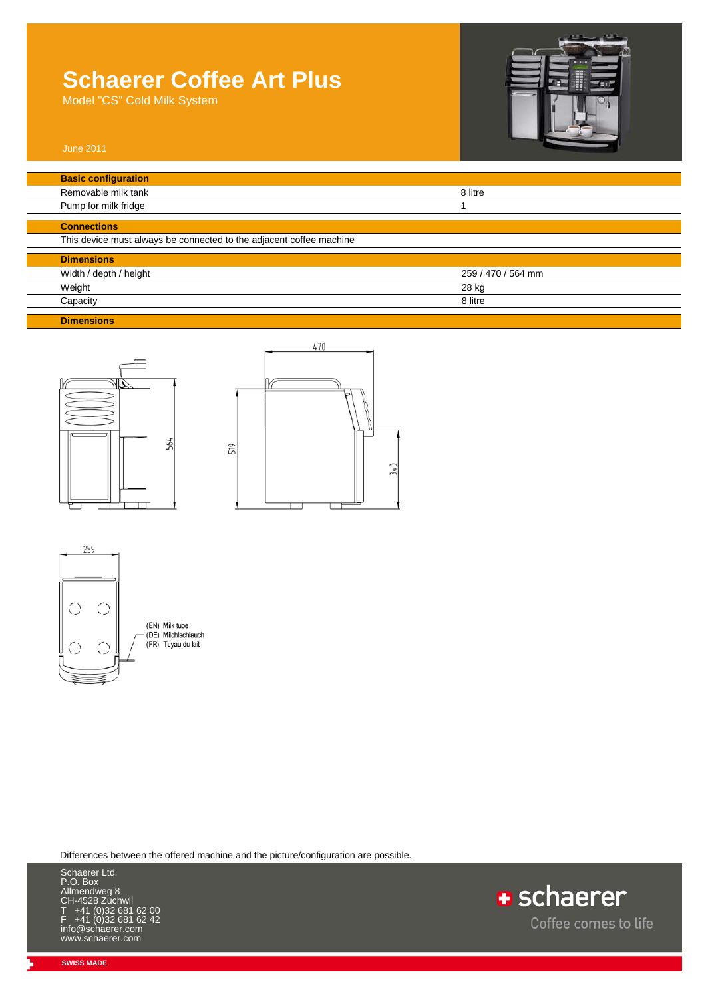Model "CS" Cold Milk System



| <b>Basic configuration</b>                                          |                    |
|---------------------------------------------------------------------|--------------------|
| Removable milk tank                                                 | 8 litre            |
| Pump for milk fridge                                                |                    |
| <b>Connections</b>                                                  |                    |
| This device must always be connected to the adjacent coffee machine |                    |
| <b>Dimensions</b>                                                   |                    |
| Width / depth / height                                              | 259 / 470 / 564 mm |
| Weight                                                              | 28 kg              |
| Capacity                                                            | 8 litre            |

**Dimensions**







Differences between the offered machine and the picture/configuration are possible.



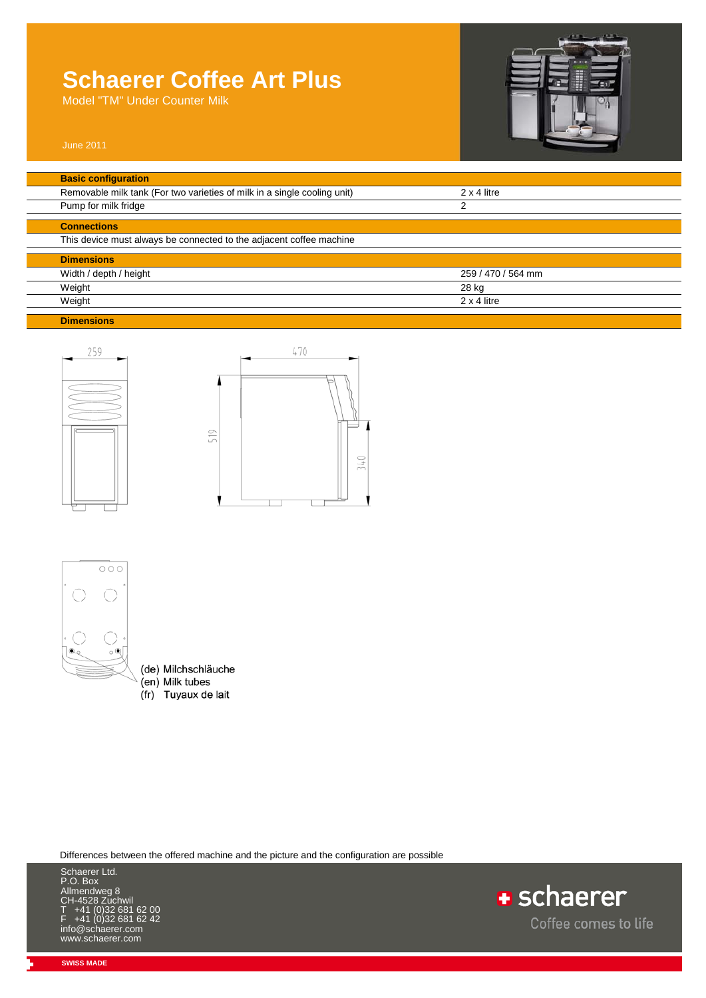Model "TM" Under Counter Milk



| Removable milk tank (For two varieties of milk in a single cooling unit) | $2 \times 4$ litre |
|--------------------------------------------------------------------------|--------------------|
| Pump for milk fridge                                                     | 2                  |
| <b>Connections</b>                                                       |                    |
| This device must always be connected to the adjacent coffee machine      |                    |
| <b>Dimensions</b>                                                        |                    |
| Width / depth / height                                                   | 259 / 470 / 564 mm |
| Weight                                                                   | 28 kg              |
| Weight                                                                   | $2 \times 4$ litre |







- (de) Milchschläuche (en) Milk tubes
- (fr) Tuyaux de lait

Differences between the offered machine and the picture and the configuration are possible

Schaerer Ltd. P.O. Box Allmendweg 8 CH-4528 Zuchwil T +41 (0)32 681 62 00 F +41 (0)32 681 62 42 info@schaerer.com www.schaerer.com